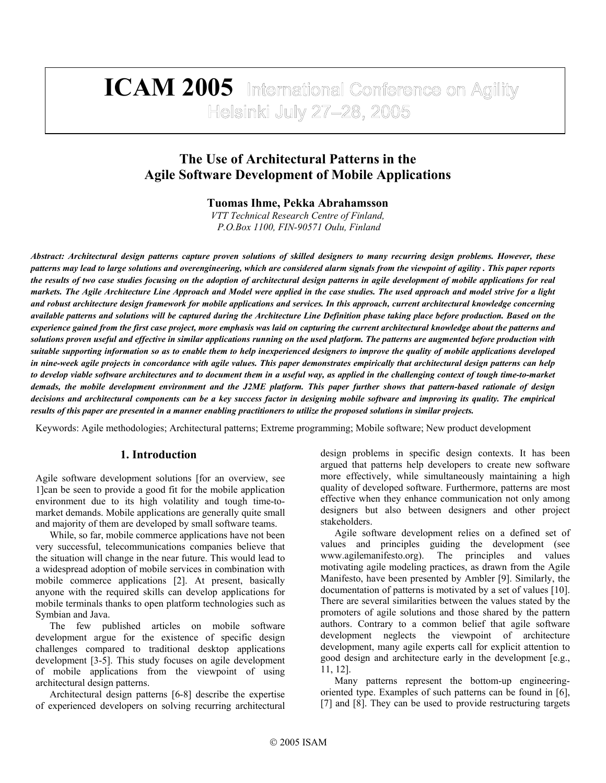# **ICAM 2005** International Conference on Agility Helsinki July 27-28, 2005

## **The Use of Architectural Patterns in the Agile Software Development of Mobile Applications**

**Tuomas Ihme, Pekka Abrahamsson** 

*VTT Technical Research Centre of Finland, P.O.Box 1100, FIN-90571 Oulu, Finland*

*Abstract: Architectural design patterns capture proven solutions of skilled designers to many recurring design problems. However, these patterns may lead to large solutions and overengineering, which are considered alarm signals from the viewpoint of agility . This paper reports the results of two case studies focusing on the adoption of architectural design patterns in agile development of mobile applications for real markets. The Agile Architecture Line Approach and Model were applied in the case studies. The used approach and model strive for a light and robust architecture design framework for mobile applications and services. In this approach, current architectural knowledge concerning available patterns and solutions will be captured during the Architecture Line Definition phase taking place before production. Based on the experience gained from the first case project, more emphasis was laid on capturing the current architectural knowledge about the patterns and solutions proven useful and effective in similar applications running on the used platform. The patterns are augmented before production with suitable supporting information so as to enable them to help inexperienced designers to improve the quality of mobile applications developed in nine-week agile projects in concordance with agile values. This paper demonstrates empirically that architectural design patterns can help to develop viable software architectures and to document them in a useful way, as applied in the challenging context of tough time-to-market demads, the mobile development environment and the J2ME platform. This paper further shows that pattern-based rationale of design decisions and architectural components can be a key success factor in designing mobile software and improving its quality. The empirical results of this paper are presented in a manner enabling practitioners to utilize the proposed solutions in similar projects.* 

Keywords: Agile methodologies; Architectural patterns; Extreme programming; Mobile software; New product development

### **1. Introduction**

Agile software development solutions [for an overview, see 1]can be seen to provide a good fit for the mobile application environment due to its high volatility and tough time-tomarket demands. Mobile applications are generally quite small and majority of them are developed by small software teams.

While, so far, mobile commerce applications have not been very successful, telecommunications companies believe that the situation will change in the near future. This would lead to a widespread adoption of mobile services in combination with mobile commerce applications [2]. At present, basically anyone with the required skills can develop applications for mobile terminals thanks to open platform technologies such as Symbian and Java.

The few published articles on mobile software development argue for the existence of specific design challenges compared to traditional desktop applications development [3-5]. This study focuses on agile development of mobile applications from the viewpoint of using architectural design patterns.

Architectural design patterns [6-8] describe the expertise of experienced developers on solving recurring architectural

design problems in specific design contexts. It has been argued that patterns help developers to create new software more effectively, while simultaneously maintaining a high quality of developed software. Furthermore, patterns are most effective when they enhance communication not only among designers but also between designers and other project stakeholders.

Agile software development relies on a defined set of values and principles guiding the development (see www.agilemanifesto.org). The principles and values motivating agile modeling practices, as drawn from the Agile Manifesto, have been presented by Ambler [9]. Similarly, the documentation of patterns is motivated by a set of values [10]. There are several similarities between the values stated by the promoters of agile solutions and those shared by the pattern authors. Contrary to a common belief that agile software development neglects the viewpoint of architecture development, many agile experts call for explicit attention to good design and architecture early in the development [e.g., 11, 12].

Many patterns represent the bottom-up engineeringoriented type. Examples of such patterns can be found in [6], [7] and [8]. They can be used to provide restructuring targets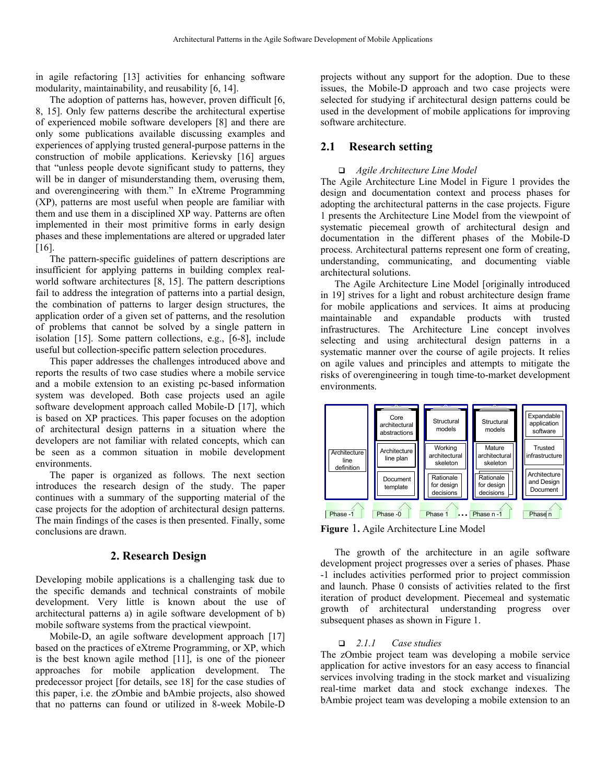in agile refactoring [13] activities for enhancing software modularity, maintainability, and reusability [6, 14].

The adoption of patterns has, however, proven difficult [6, 8, 15]. Only few patterns describe the architectural expertise of experienced mobile software developers [8] and there are only some publications available discussing examples and experiences of applying trusted general-purpose patterns in the construction of mobile applications. Kerievsky [16] argues that "unless people devote significant study to patterns, they will be in danger of misunderstanding them, overusing them, and overengineering with them." In eXtreme Programming (XP), patterns are most useful when people are familiar with them and use them in a disciplined XP way. Patterns are often implemented in their most primitive forms in early design phases and these implementations are altered or upgraded later [16].

The pattern-specific guidelines of pattern descriptions are insufficient for applying patterns in building complex realworld software architectures [8, 15]. The pattern descriptions fail to address the integration of patterns into a partial design, the combination of patterns to larger design structures, the application order of a given set of patterns, and the resolution of problems that cannot be solved by a single pattern in isolation [15]. Some pattern collections, e.g., [6-8], include useful but collection-specific pattern selection procedures.

This paper addresses the challenges introduced above and reports the results of two case studies where a mobile service and a mobile extension to an existing pc-based information system was developed. Both case projects used an agile software development approach called Mobile-D [17], which is based on XP practices. This paper focuses on the adoption of architectural design patterns in a situation where the developers are not familiar with related concepts, which can be seen as a common situation in mobile development environments.

The paper is organized as follows. The next section introduces the research design of the study. The paper continues with a summary of the supporting material of the case projects for the adoption of architectural design patterns. The main findings of the cases is then presented. Finally, some conclusions are drawn.

#### **2. Research Design**

Developing mobile applications is a challenging task due to the specific demands and technical constraints of mobile development. Very little is known about the use of architectural patterns a) in agile software development of b) mobile software systems from the practical viewpoint.

Mobile-D, an agile software development approach [17] based on the practices of eXtreme Programming, or XP, which is the best known agile method [11], is one of the pioneer approaches for mobile application development. The predecessor project [for details, see 18] for the case studies of this paper, i.e. the zOmbie and bAmbie projects, also showed that no patterns can found or utilized in 8-week Mobile-D

projects without any support for the adoption. Due to these issues, the Mobile-D approach and two case projects were selected for studying if architectural design patterns could be used in the development of mobile applications for improving software architecture.

## **2.1 Research setting**

#### *Agile Architecture Line Model*

The Agile Architecture Line Model in [Figure 1](#page-1-0) provides the design and documentation context and process phases for adopting the architectural patterns in the case projects. [Figure](#page-1-0) [1](#page-1-0) presents the Architecture Line Model from the viewpoint of systematic piecemeal growth of architectural design and documentation in the different phases of the Mobile-D process. Architectural patterns represent one form of creating, understanding, communicating, and documenting viable architectural solutions.

The Agile Architecture Line Model [originally introduced in 19] strives for a light and robust architecture design frame for mobile applications and services. It aims at producing maintainable and expandable products with trusted infrastructures. The Architecture Line concept involves selecting and using architectural design patterns in a systematic manner over the course of agile projects. It relies on agile values and principles and attempts to mitigate the risks of overengineering in tough time-to-market development environments.

<span id="page-1-0"></span>

**Figure** 1**.** Agile Architecture Line Model

The growth of the architecture in an agile software development project progresses over a series of phases. Phase -1 includes activities performed prior to project commission and launch. Phase 0 consists of activities related to the first iteration of product development. Piecemeal and systematic growth of architectural understanding progress over subsequent phases as shown in [Figure 1.](#page-1-0)

#### *2.1.1 Case studies*

The zOmbie project team was developing a mobile service application for active investors for an easy access to financial services involving trading in the stock market and visualizing real-time market data and stock exchange indexes. The bAmbie project team was developing a mobile extension to an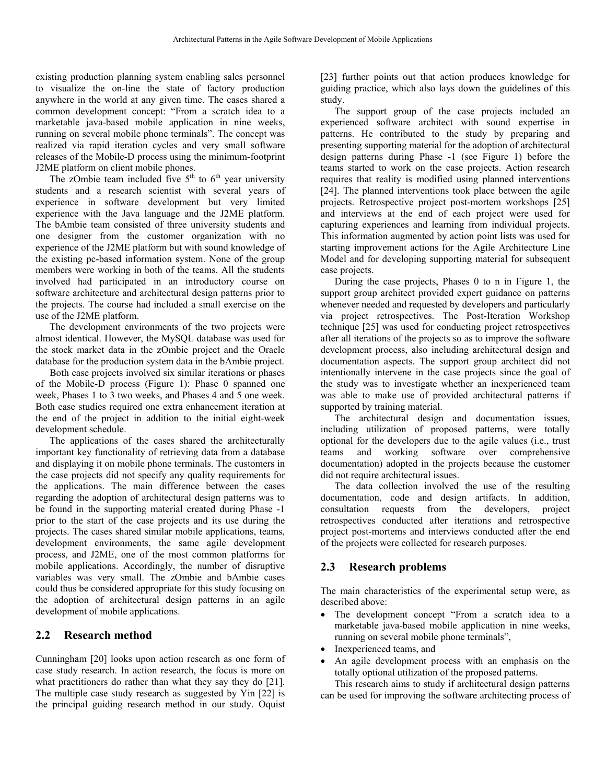existing production planning system enabling sales personnel to visualize the on-line the state of factory production anywhere in the world at any given time. The cases shared a common development concept: "From a scratch idea to a marketable java-based mobile application in nine weeks, running on several mobile phone terminals". The concept was realized via rapid iteration cycles and very small software releases of the Mobile-D process using the minimum-footprint J2ME platform on client mobile phones.

The zOmbie team included five  $5<sup>th</sup>$  to  $6<sup>th</sup>$  year university students and a research scientist with several years of experience in software development but very limited experience with the Java language and the J2ME platform. The bAmbie team consisted of three university students and one designer from the customer organization with no experience of the J2ME platform but with sound knowledge of the existing pc-based information system. None of the group members were working in both of the teams. All the students involved had participated in an introductory course on software architecture and architectural design patterns prior to the projects. The course had included a small exercise on the use of the J2ME platform.

The development environments of the two projects were almost identical. However, the MySQL database was used for the stock market data in the zOmbie project and the Oracle database for the production system data in the bAmbie project.

Both case projects involved six similar iterations or phases of the Mobile-D process ([Figure 1\)](#page-1-0): Phase 0 spanned one week, Phases 1 to 3 two weeks, and Phases 4 and 5 one week. Both case studies required one extra enhancement iteration at the end of the project in addition to the initial eight-week development schedule.

The applications of the cases shared the architecturally important key functionality of retrieving data from a database and displaying it on mobile phone terminals. The customers in the case projects did not specify any quality requirements for the applications. The main difference between the cases regarding the adoption of architectural design patterns was to be found in the supporting material created during Phase -1 prior to the start of the case projects and its use during the projects. The cases shared similar mobile applications, teams, development environments, the same agile development process, and J2ME, one of the most common platforms for mobile applications. Accordingly, the number of disruptive variables was very small. The zOmbie and bAmbie cases could thus be considered appropriate for this study focusing on the adoption of architectural design patterns in an agile development of mobile applications.

## **2.2 Research method**

Cunningham [20] looks upon action research as one form of case study research. In action research, the focus is more on what practitioners do rather than what they say they do [21]. The multiple case study research as suggested by Yin [22] is the principal guiding research method in our study. Oquist

[23] further points out that action produces knowledge for guiding practice, which also lays down the guidelines of this study.

The support group of the case projects included an experienced software architect with sound expertise in patterns. He contributed to the study by preparing and presenting supporting material for the adoption of architectural design patterns during Phase -1 (see [Figure 1\)](#page-1-0) before the teams started to work on the case projects. Action research requires that reality is modified using planned interventions [24]. The planned interventions took place between the agile projects. Retrospective project post-mortem workshops [25] and interviews at the end of each project were used for capturing experiences and learning from individual projects. This information augmented by action point lists was used for starting improvement actions for the Agile Architecture Line Model and for developing supporting material for subsequent case projects.

During the case projects, Phases 0 to n in [Figure 1,](#page-1-0) the support group architect provided expert guidance on patterns whenever needed and requested by developers and particularly via project retrospectives. The Post-Iteration Workshop technique [25] was used for conducting project retrospectives after all iterations of the projects so as to improve the software development process, also including architectural design and documentation aspects. The support group architect did not intentionally intervene in the case projects since the goal of the study was to investigate whether an inexperienced team was able to make use of provided architectural patterns if supported by training material.

The architectural design and documentation issues, including utilization of proposed patterns, were totally optional for the developers due to the agile values (i.e., trust teams and working software over comprehensive documentation) adopted in the projects because the customer did not require architectural issues.

The data collection involved the use of the resulting documentation, code and design artifacts. In addition, consultation requests from the developers, project retrospectives conducted after iterations and retrospective project post-mortems and interviews conducted after the end of the projects were collected for research purposes.

## **2.3 Research problems**

The main characteristics of the experimental setup were, as described above:

- The development concept "From a scratch idea to a marketable java-based mobile application in nine weeks, running on several mobile phone terminals",
- Inexperienced teams, and
- An agile development process with an emphasis on the totally optional utilization of the proposed patterns.

This research aims to study if architectural design patterns can be used for improving the software architecting process of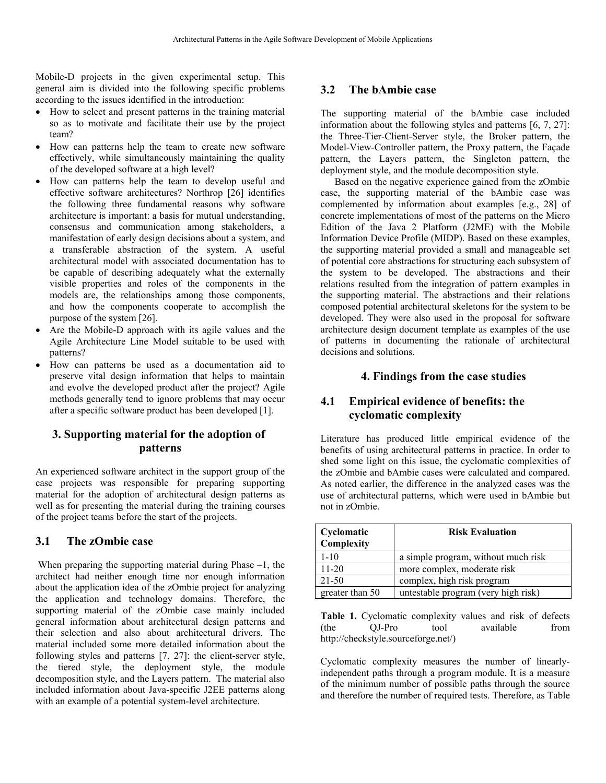Mobile-D projects in the given experimental setup. This general aim is divided into the following specific problems according to the issues identified in the introduction:

- How to select and present patterns in the training material so as to motivate and facilitate their use by the project team?
- How can patterns help the team to create new software effectively, while simultaneously maintaining the quality of the developed software at a high level?
- How can patterns help the team to develop useful and effective software architectures? Northrop [26] identifies the following three fundamental reasons why software architecture is important: a basis for mutual understanding, consensus and communication among stakeholders, a manifestation of early design decisions about a system, and a transferable abstraction of the system. A useful architectural model with associated documentation has to be capable of describing adequately what the externally visible properties and roles of the components in the models are, the relationships among those components, and how the components cooperate to accomplish the purpose of the system [26].
- Are the Mobile-D approach with its agile values and the Agile Architecture Line Model suitable to be used with patterns?
- How can patterns be used as a documentation aid to preserve vital design information that helps to maintain and evolve the developed product after the project? Agile methods generally tend to ignore problems that may occur after a specific software product has been developed [1].

## **3. Supporting material for the adoption of patterns**

An experienced software architect in the support group of the case projects was responsible for preparing supporting material for the adoption of architectural design patterns as well as for presenting the material during the training courses of the project teams before the start of the projects.

## **3.1 The zOmbie case**

When preparing the supporting material during Phase  $-1$ , the architect had neither enough time nor enough information about the application idea of the zOmbie project for analyzing the application and technology domains. Therefore, the supporting material of the zOmbie case mainly included general information about architectural design patterns and their selection and also about architectural drivers. The material included some more detailed information about the following styles and patterns [7, 27]: the client-server style, the tiered style, the deployment style, the module decomposition style, and the Layers pattern. The material also included information about Java-specific J2EE patterns along with an example of a potential system-level architecture.

## **3.2 The bAmbie case**

The supporting material of the bAmbie case included information about the following styles and patterns [6, 7, 27]: the Three-Tier-Client-Server style, the Broker pattern, the Model-View-Controller pattern, the Proxy pattern, the Façade pattern, the Layers pattern, the Singleton pattern, the deployment style, and the module decomposition style.

Based on the negative experience gained from the zOmbie case, the supporting material of the bAmbie case was complemented by information about examples [e.g., 28] of concrete implementations of most of the patterns on the Micro Edition of the Java 2 Platform (J2ME) with the Mobile Information Device Profile (MIDP). Based on these examples, the supporting material provided a small and manageable set of potential core abstractions for structuring each subsystem of the system to be developed. The abstractions and their relations resulted from the integration of pattern examples in the supporting material. The abstractions and their relations composed potential architectural skeletons for the system to be developed. They were also used in the proposal for software architecture design document template as examples of the use of patterns in documenting the rationale of architectural decisions and solutions.

#### **4. Findings from the case studies**

## **4.1 Empirical evidence of benefits: the cyclomatic complexity**

Literature has produced little empirical evidence of the benefits of using architectural patterns in practice. In order to shed some light on this issue, the cyclomatic complexities of the zOmbie and bAmbie cases were calculated and compared. As noted earlier, the difference in the analyzed cases was the use of architectural patterns, which were used in bAmbie but not in zOmbie.

| Cyclomatic<br>Complexity | <b>Risk Evaluation</b>              |
|--------------------------|-------------------------------------|
| $1 - 10$                 | a simple program, without much risk |
| $11 - 20$                | more complex, moderate risk         |
| 21-50                    | complex, high risk program          |
| greater than 50          | untestable program (very high risk) |

Table 1. Cyclomatic complexity values and risk of defects (the QJ-Pro tool available from http://checkstyle.sourceforge.net/)

Cyclomatic complexity measures the number of linearlyindependent paths through a program module. It is a measure of the minimum number of possible paths through the source and therefore the number of required tests. Therefore, as Table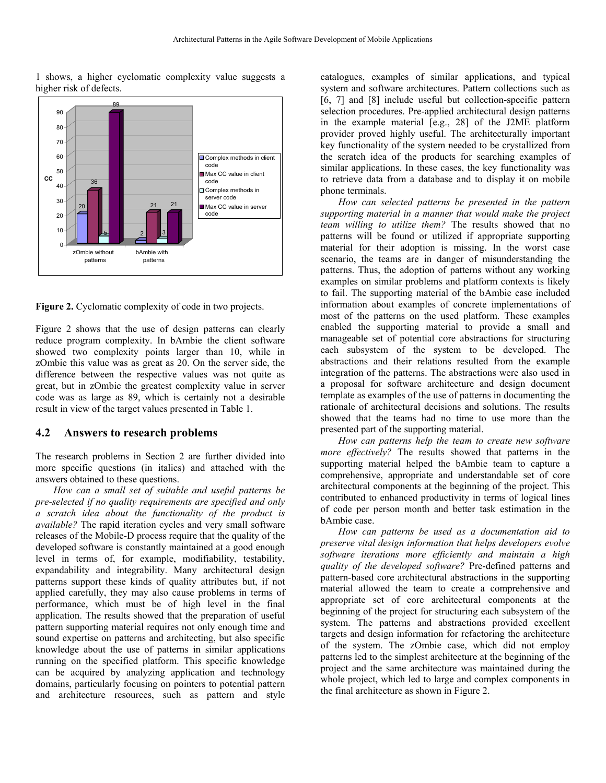1 shows, a higher cyclomatic complexity value suggests a higher risk of defects.



<span id="page-4-0"></span>**Figure 2.** Cyclomatic complexity of code in two projects.

[Figure 2](#page-4-0) shows that the use of design patterns can clearly reduce program complexity. In bAmbie the client software showed two complexity points larger than 10, while in zOmbie this value was as great as 20. On the server side, the difference between the respective values was not quite as great, but in zOmbie the greatest complexity value in server code was as large as 89, which is certainly not a desirable result in view of the target values presented in Table 1.

#### **4.2 Answers to research problems**

The research problems in Section 2 are further divided into more specific questions (in italics) and attached with the answers obtained to these questions.

*How can a small set of suitable and useful patterns be pre-selected if no quality requirements are specified and only a scratch idea about the functionality of the product is available?* The rapid iteration cycles and very small software releases of the Mobile-D process require that the quality of the developed software is constantly maintained at a good enough level in terms of, for example, modifiability, testability, expandability and integrability. Many architectural design patterns support these kinds of quality attributes but, if not applied carefully, they may also cause problems in terms of performance, which must be of high level in the final application. The results showed that the preparation of useful pattern supporting material requires not only enough time and sound expertise on patterns and architecting, but also specific knowledge about the use of patterns in similar applications running on the specified platform. This specific knowledge can be acquired by analyzing application and technology domains, particularly focusing on pointers to potential pattern and architecture resources, such as pattern and style

catalogues, examples of similar applications, and typical system and software architectures. Pattern collections such as [6, 7] and [8] include useful but collection-specific pattern selection procedures. Pre-applied architectural design patterns in the example material [e.g., 28] of the J2ME platform provider proved highly useful. The architecturally important key functionality of the system needed to be crystallized from the scratch idea of the products for searching examples of similar applications. In these cases, the key functionality was to retrieve data from a database and to display it on mobile phone terminals.

*How can selected patterns be presented in the pattern supporting material in a manner that would make the project team willing to utilize them?* The results showed that no patterns will be found or utilized if appropriate supporting material for their adoption is missing. In the worst case scenario, the teams are in danger of misunderstanding the patterns. Thus, the adoption of patterns without any working examples on similar problems and platform contexts is likely to fail. The supporting material of the bAmbie case included information about examples of concrete implementations of most of the patterns on the used platform. These examples enabled the supporting material to provide a small and manageable set of potential core abstractions for structuring each subsystem of the system to be developed. The abstractions and their relations resulted from the example integration of the patterns. The abstractions were also used in a proposal for software architecture and design document template as examples of the use of patterns in documenting the rationale of architectural decisions and solutions. The results showed that the teams had no time to use more than the presented part of the supporting material.

*How can patterns help the team to create new software more effectively?* The results showed that patterns in the supporting material helped the bAmbie team to capture a comprehensive, appropriate and understandable set of core architectural components at the beginning of the project. This contributed to enhanced productivity in terms of logical lines of code per person month and better task estimation in the bAmbie case.

*How can patterns be used as a documentation aid to preserve vital design information that helps developers evolve software iterations more efficiently and maintain a high quality of the developed software?* Pre-defined patterns and pattern-based core architectural abstractions in the supporting material allowed the team to create a comprehensive and appropriate set of core architectural components at the beginning of the project for structuring each subsystem of the system. The patterns and abstractions provided excellent targets and design information for refactoring the architecture of the system. The zOmbie case, which did not employ patterns led to the simplest architecture at the beginning of the project and the same architecture was maintained during the whole project, which led to large and complex components in the final architecture as shown in [Figure 2.](#page-4-0)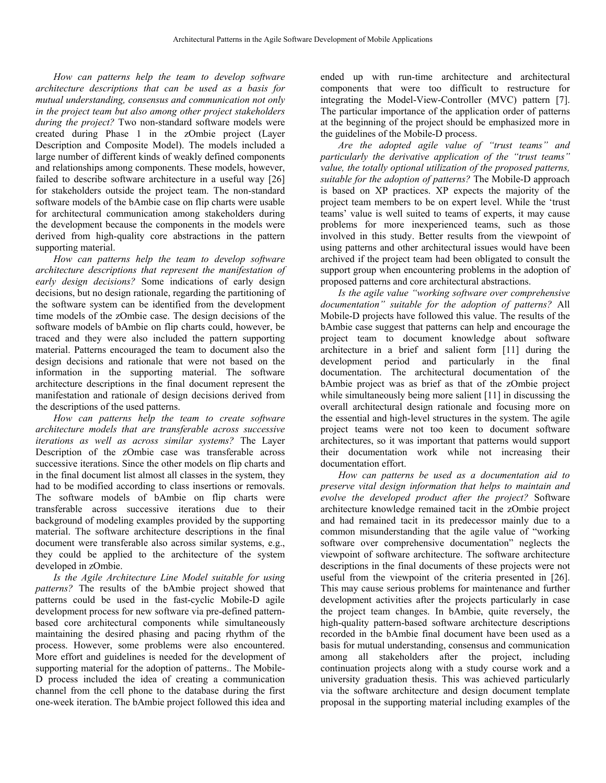*How can patterns help the team to develop software architecture descriptions that can be used as a basis for mutual understanding, consensus and communication not only in the project team but also among other project stakeholders during the project?* Two non-standard software models were created during Phase 1 in the zOmbie project (Layer Description and Composite Model). The models included a large number of different kinds of weakly defined components and relationships among components. These models, however, failed to describe software architecture in a useful way [26] for stakeholders outside the project team. The non-standard software models of the bAmbie case on flip charts were usable for architectural communication among stakeholders during the development because the components in the models were derived from high-quality core abstractions in the pattern supporting material.

*How can patterns help the team to develop software architecture descriptions that represent the manifestation of early design decisions?* Some indications of early design decisions, but no design rationale, regarding the partitioning of the software system can be identified from the development time models of the zOmbie case. The design decisions of the software models of bAmbie on flip charts could, however, be traced and they were also included the pattern supporting material. Patterns encouraged the team to document also the design decisions and rationale that were not based on the information in the supporting material. The software architecture descriptions in the final document represent the manifestation and rationale of design decisions derived from the descriptions of the used patterns.

*How can patterns help the team to create software architecture models that are transferable across successive iterations as well as across similar systems?* The Layer Description of the zOmbie case was transferable across successive iterations. Since the other models on flip charts and in the final document list almost all classes in the system, they had to be modified according to class insertions or removals. The software models of bAmbie on flip charts were transferable across successive iterations due to their background of modeling examples provided by the supporting material. The software architecture descriptions in the final document were transferable also across similar systems, e.g., they could be applied to the architecture of the system developed in zOmbie.

*Is the Agile Architecture Line Model suitable for using patterns?* The results of the bAmbie project showed that patterns could be used in the fast-cyclic Mobile-D agile development process for new software via pre-defined patternbased core architectural components while simultaneously maintaining the desired phasing and pacing rhythm of the process. However, some problems were also encountered. More effort and guidelines is needed for the development of supporting material for the adoption of patterns.. The Mobile-D process included the idea of creating a communication channel from the cell phone to the database during the first one-week iteration. The bAmbie project followed this idea and

ended up with run-time architecture and architectural components that were too difficult to restructure for integrating the Model-View-Controller (MVC) pattern [7]. The particular importance of the application order of patterns at the beginning of the project should be emphasized more in the guidelines of the Mobile-D process.

*Are the adopted agile value of "trust teams" and particularly the derivative application of the "trust teams" value, the totally optional utilization of the proposed patterns, suitable for the adoption of patterns?* The Mobile-D approach is based on XP practices. XP expects the majority of the project team members to be on expert level. While the 'trust teams' value is well suited to teams of experts, it may cause problems for more inexperienced teams, such as those involved in this study. Better results from the viewpoint of using patterns and other architectural issues would have been archived if the project team had been obligated to consult the support group when encountering problems in the adoption of proposed patterns and core architectural abstractions.

*Is the agile value "working software over comprehensive documentation" suitable for the adoption of patterns?* All Mobile-D projects have followed this value. The results of the bAmbie case suggest that patterns can help and encourage the project team to document knowledge about software architecture in a brief and salient form [11] during the development period and particularly in the final documentation. The architectural documentation of the bAmbie project was as brief as that of the zOmbie project while simultaneously being more salient [11] in discussing the overall architectural design rationale and focusing more on the essential and high-level structures in the system. The agile project teams were not too keen to document software architectures, so it was important that patterns would support their documentation work while not increasing their documentation effort.

*How can patterns be used as a documentation aid to preserve vital design information that helps to maintain and evolve the developed product after the project?* Software architecture knowledge remained tacit in the zOmbie project and had remained tacit in its predecessor mainly due to a common misunderstanding that the agile value of "working software over comprehensive documentation" neglects the viewpoint of software architecture. The software architecture descriptions in the final documents of these projects were not useful from the viewpoint of the criteria presented in [26]. This may cause serious problems for maintenance and further development activities after the projects particularly in case the project team changes. In bAmbie, quite reversely, the high-quality pattern-based software architecture descriptions recorded in the bAmbie final document have been used as a basis for mutual understanding, consensus and communication among all stakeholders after the project, including continuation projects along with a study course work and a university graduation thesis. This was achieved particularly via the software architecture and design document template proposal in the supporting material including examples of the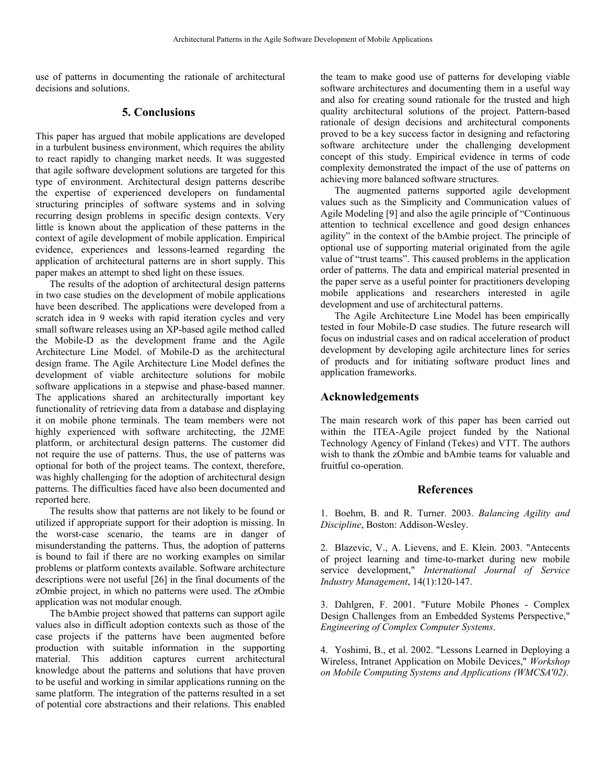use of patterns in documenting the rationale of architectural decisions and solutions.

#### **5. Conclusions**

This paper has argued that mobile applications are developed in a turbulent business environment, which requires the ability to react rapidly to changing market needs. It was suggested that agile software development solutions are targeted for this type of environment. Architectural design patterns describe the expertise of experienced developers on fundamental structuring principles of software systems and in solving recurring design problems in specific design contexts. Very little is known about the application of these patterns in the context of agile development of mobile application. Empirical evidence, experiences and lessons-learned regarding the application of architectural patterns are in short supply. This paper makes an attempt to shed light on these issues.

The results of the adoption of architectural design patterns in two case studies on the development of mobile applications have been described. The applications were developed from a scratch idea in 9 weeks with rapid iteration cycles and very small software releases using an XP-based agile method called the Mobile-D as the development frame and the Agile Architecture Line Model. of Mobile-D as the architectural design frame. The Agile Architecture Line Model defines the development of viable architecture solutions for mobile software applications in a stepwise and phase-based manner. The applications shared an architecturally important key functionality of retrieving data from a database and displaying it on mobile phone terminals. The team members were not highly experienced with software architecting, the J2ME platform, or architectural design patterns. The customer did not require the use of patterns. Thus, the use of patterns was optional for both of the project teams. The context, therefore, was highly challenging for the adoption of architectural design patterns. The difficulties faced have also been documented and reported here.

The results show that patterns are not likely to be found or utilized if appropriate support for their adoption is missing. In the worst-case scenario, the teams are in danger of misunderstanding the patterns. Thus, the adoption of patterns is bound to fail if there are no working examples on similar problems or platform contexts available. Software architecture descriptions were not useful [26] in the final documents of the zOmbie project, in which no patterns were used. The zOmbie application was not modular enough.

The bAmbie project showed that patterns can support agile values also in difficult adoption contexts such as those of the case projects if the patterns have been augmented before production with suitable information in the supporting material. This addition captures current architectural knowledge about the patterns and solutions that have proven to be useful and working in similar applications running on the same platform. The integration of the patterns resulted in a set of potential core abstractions and their relations. This enabled

the team to make good use of patterns for developing viable software architectures and documenting them in a useful way and also for creating sound rationale for the trusted and high quality architectural solutions of the project. Pattern-based rationale of design decisions and architectural components proved to be a key success factor in designing and refactoring software architecture under the challenging development concept of this study. Empirical evidence in terms of code complexity demonstrated the impact of the use of patterns on achieving more balanced software structures.

The augmented patterns supported agile development values such as the Simplicity and Communication values of Agile Modeling [9] and also the agile principle of "Continuous attention to technical excellence and good design enhances agility" in the context of the bAmbie project. The principle of optional use of supporting material originated from the agile value of "trust teams". This caused problems in the application order of patterns. The data and empirical material presented in the paper serve as a useful pointer for practitioners developing mobile applications and researchers interested in agile development and use of architectural patterns.

The Agile Architecture Line Model has been empirically tested in four Mobile-D case studies. The future research will focus on industrial cases and on radical acceleration of product development by developing agile architecture lines for series of products and for initiating software product lines and application frameworks.

#### **Acknowledgements**

The main research work of this paper has been carried out within the ITEA-Agile project funded by the National Technology Agency of Finland (Tekes) and VTT. The authors wish to thank the zOmbie and bAmbie teams for valuable and fruitful co-operation.

#### **References**

1. Boehm, B. and R. Turner. 2003. *Balancing Agility and Discipline*, Boston: Addison-Wesley.

2. Blazevic, V., A. Lievens, and E. Klein. 2003. "Antecents of project learning and time-to-market during new mobile service development," *International Journal of Service Industry Management*, 14(1):120-147.

3. Dahlgren, F. 2001. "Future Mobile Phones - Complex Design Challenges from an Embedded Systems Perspective," *Engineering of Complex Computer Systems*.

4. Yoshimi, B., et al. 2002. "Lessons Learned in Deploying a Wireless, Intranet Application on Mobile Devices," *Workshop on Mobile Computing Systems and Applications (WMCSA'02)*.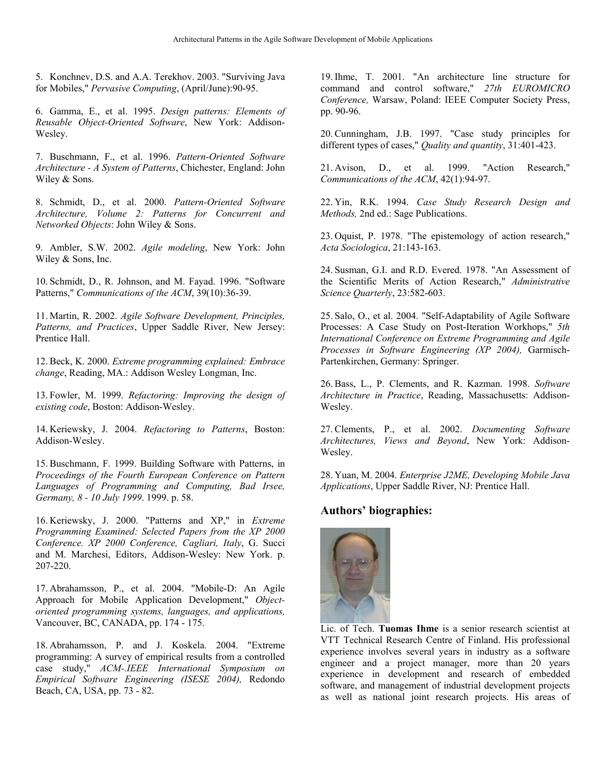5. Konchnev, D.S. and A.A. Terekhov. 2003. "Surviving Java for Mobiles," *Pervasive Computing*, (April/June):90-95.

6. Gamma, E., et al. 1995. *Design patterns: Elements of Reusable Object-Oriented Software*, New York: Addison-Wesley.

7. Buschmann, F., et al. 1996. *Pattern-Oriented Software Architecture - A System of Patterns*, Chichester, England: John Wiley & Sons.

8. Schmidt, D., et al. 2000. *Pattern-Oriented Software Architecture, Volume 2: Patterns for Concurrent and Networked Objects*: John Wiley & Sons.

9. Ambler, S.W. 2002. *Agile modeling*, New York: John Wiley & Sons, Inc.

10. Schmidt, D., R. Johnson, and M. Fayad. 1996. "Software Patterns," *Communications of the ACM*, 39(10):36-39.

11. Martin, R. 2002. *Agile Software Development, Principles, Patterns, and Practices*, Upper Saddle River, New Jersey: Prentice Hall.

12. Beck, K. 2000. *Extreme programming explained: Embrace change*, Reading, MA.: Addison Wesley Longman, Inc.

13. Fowler, M. 1999. *Refactoring: Improving the design of existing code*, Boston: Addison-Wesley.

14. Keriewsky, J. 2004. *Refactoring to Patterns*, Boston: Addison-Wesley.

15. Buschmann, F. 1999. Building Software with Patterns, in *Proceedings of the Fourth European Conference on Pattern Languages of Programming and Computing, Bad Irsee, Germany, 8 - 10 July 1999*. 1999. p. 58.

16. Keriewsky, J. 2000. "Patterns and XP," in *Extreme Programming Examined: Selected Papers from the XP 2000 Conference. XP 2000 Conference, Cagliari, Italy*, G. Succi and M. Marchesi, Editors, Addison-Wesley: New York. p. 207-220.

17. Abrahamsson, P., et al. 2004. "Mobile-D: An Agile Approach for Mobile Application Development," *Objectoriented programming systems, languages, and applications,* Vancouver, BC, CANADA, pp. 174 - 175.

18. Abrahamsson, P. and J. Koskela. 2004. "Extreme programming: A survey of empirical results from a controlled case study," *ACM-.IEEE International Symposium on Empirical Software Engineering (ISESE 2004),* Redondo Beach, CA, USA, pp. 73 - 82.

19. Ihme, T. 2001. "An architecture line structure for command and control software," *27th EUROMICRO Conference,* Warsaw, Poland: IEEE Computer Society Press, pp. 90-96.

20. Cunningham, J.B. 1997. "Case study principles for different types of cases," *Quality and quantity*, 31:401-423.

21. Avison, D., et al. 1999. "Action Research," *Communications of the ACM*, 42(1):94-97.

22. Yin, R.K. 1994. *Case Study Research Design and Methods,* 2nd ed.: Sage Publications.

23. Oquist, P. 1978. "The epistemology of action research," *Acta Sociologica*, 21:143-163.

24. Susman, G.I. and R.D. Evered. 1978. "An Assessment of the Scientific Merits of Action Research," *Administrative Science Quarterly*, 23:582-603.

25. Salo, O., et al. 2004. "Self-Adaptability of Agile Software Processes: A Case Study on Post-Iteration Workhops," *5th International Conference on Extreme Programming and Agile Processes in Software Engineering (XP 2004),* Garmisch-Partenkirchen, Germany: Springer.

26. Bass, L., P. Clements, and R. Kazman. 1998. *Software Architecture in Practice*, Reading, Massachusetts: Addison-Wesley.

27. Clements, P., et al. 2002. *Documenting Software Architectures, Views and Beyond*, New York: Addison-Wesley.

28. Yuan, M. 2004. *Enterprise J2ME, Developing Mobile Java Applications*, Upper Saddle River, NJ: Prentice Hall.

## **Authors' biographies:**



Lic. of Tech. **Tuomas Ihme** is a senior research scientist at VTT Technical Research Centre of Finland. His professional experience involves several years in industry as a software engineer and a project manager, more than 20 years experience in development and research of embedded software, and management of industrial development projects as well as national joint research projects. His areas of